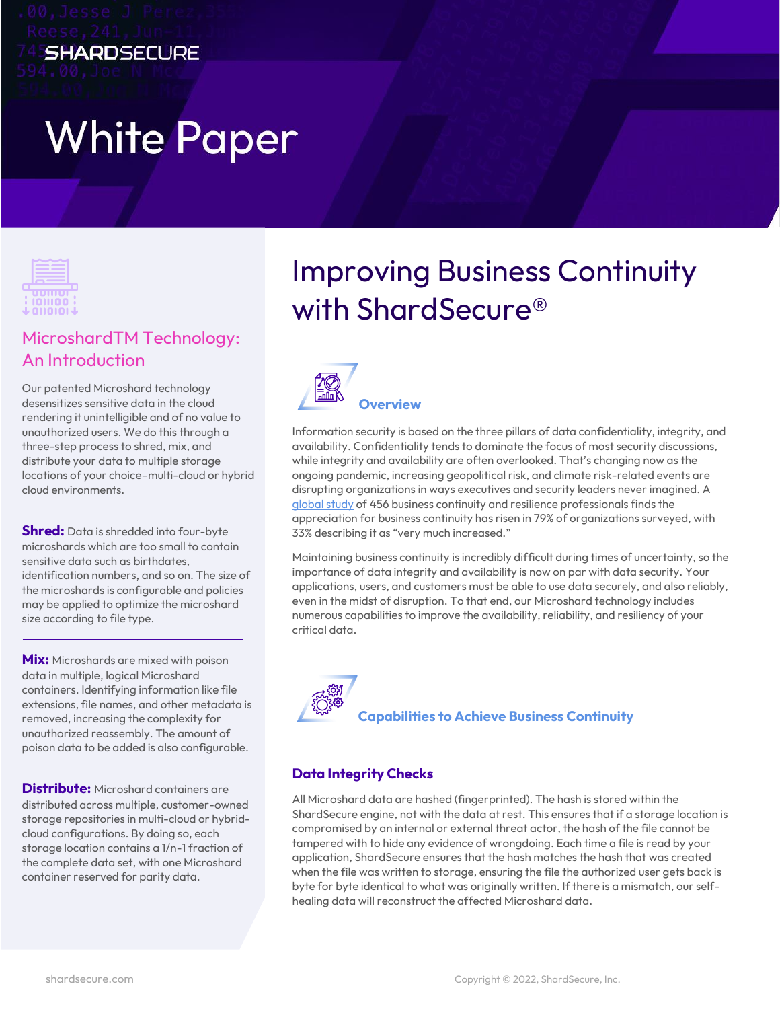# **White Paper**

**SHARDSECURE** 



### MicroshardTM Technology: An Introduction

Our patented Microshard technology desensitizes sensitive data in the cloud rendering it unintelligible and of no value to unauthorized users. We do this through a three-step process to shred, mix, and distribute your data to multiple storage locations of your choice–multi-cloud or hybrid cloud environments.

**Shred:** Data is shredded into four-byte microshards which are too small to contain sensitive data such as birthdates, identification numbers, and so on. The size of the microshards is configurable and policies may be applied to optimize the microshard size according to file type.

**Mix:** Microshards are mixed with poison data in multiple, logical Microshard containers. Identifying information like file extensions, file names, and other metadata is removed, increasing the complexity for unauthorized reassembly. The amount of poison data to be added is also configurable.

**Distribute:** Microshard containers are distributed across multiple, customer-owned storage repositories in multi-cloud or hybridcloud configurations. By doing so, each storage location contains a 1/n-1 fraction of the complete data set, with one Microshard container reserved for parity data.

## Improving Business Continuity with ShardSecure®



Information security is based on the three pillars of data confidentiality, integrity, and availability. Confidentiality tends to dominate the focus of most security discussions, while integrity and availability are often overlooked. That's changing now as the ongoing pandemic, increasing geopolitical risk, and climate risk-related events are disrupting organizations in ways executives and security leaders never imagined. A [global study](https://www.thebci.org/news/bci-publishes-the-future-of-business-continuity-resilience-report-2021.html) of 456 business continuity and resilience professionals finds the appreciation for business continuity has risen in 79% of organizations surveyed, with 33% describing it as "very much increased."

Maintaining business continuity is incredibly difficult during times of uncertainty, so the importance of data integrity and availability is now on par with data security. Your applications, users, and customers must be able to use data securely, and also reliably, even in the midst of disruption. To that end, our Microshard technology includes numerous capabilities to improve the availability, reliability, and resiliency of your critical data.



#### **Data Integrity Checks**

All Microshard data are hashed (fingerprinted). The hash is stored within the ShardSecure engine, not with the data at rest. This ensures that if a storage location is compromised by an internal or external threat actor, the hash of the file cannot be tampered with to hide any evidence of wrongdoing. Each time a file is read by your application, ShardSecure ensures that the hash matches the hash that was created when the file was written to storage, ensuring the file the authorized user gets back is byte for byte identical to what was originally written. If there is a mismatch, our selfhealing data will reconstruct the affected Microshard data.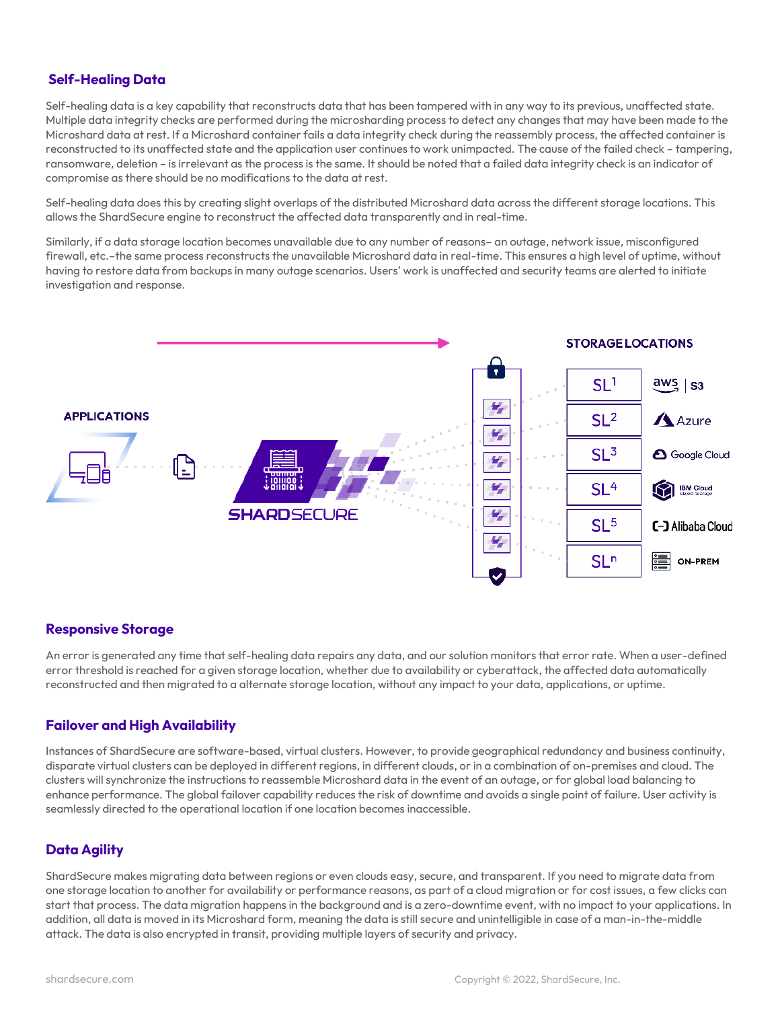#### **Self-Healing Data**

Self-healing data is a key capability that reconstructs data that has been tampered with in any way to its previous, unaffected state. Multiple data integrity checks are performed during the microsharding process to detect any changes that may have been made to the Microshard data at rest. If a Microshard container fails a data integrity check during the reassembly process, the affected container is reconstructed to its unaffected state and the application user continues to work unimpacted. The cause of the failed check – tampering, ransomware, deletion – is irrelevant as the process is the same. It should be noted that a failed data integrity check is an indicator of compromise as there should be no modifications to the data at rest.

Self-healing data does this by creating slight overlaps of the distributed Microshard data across the different storage locations. This allows the ShardSecure engine to reconstruct the affected data transparently and in real-time.

Similarly, if a data storage location becomes unavailable due to any number of reasons– an outage, network issue, misconfigured firewall, etc.–the same process reconstructs the unavailable Microshard data in real-time. This ensures a high level of uptime, without having to restore data from backups in many outage scenarios. Users' work is unaffected and security teams are alerted to initiate investigation and response.



#### **Responsive Storage**

An error is generated any time that self-healing data repairs any data, and our solution monitors that error rate. When a user-defined error threshold is reached for a given storage location, whether due to availability or cyberattack, the affected data automatically reconstructed and then migrated to a alternate storage location, without any impact to your data, applications, or uptime.

#### **Failover and High Availability**

Instances of ShardSecure are software-based, virtual clusters. However, to provide geographical redundancy and business continuity, disparate virtual clusters can be deployed in different regions, in different clouds, or in a combination of on-premises and cloud. The clusters will synchronize the instructions to reassemble Microshard data in the event of an outage, or for global load balancing to enhance performance. The global failover capability reduces the risk of downtime and avoids a single point of failure. User activity is seamlessly directed to the operational location if one location becomes inaccessible.

#### **Data Agility**

ShardSecure makes migrating data between regions or even clouds easy, secure, and transparent. If you need to migrate data from one storage location to another for availability or performance reasons, as part of a cloud migration or for cost issues, a few clicks can start that process. The data migration happens in the background and is a zero-downtime event, with no impact to your applications. In addition, all data is moved in its Microshard form, meaning the data is still secure and unintelligible in case of a man-in-the-middle attack. The data is also encrypted in transit, providing multiple layers of security and privacy.